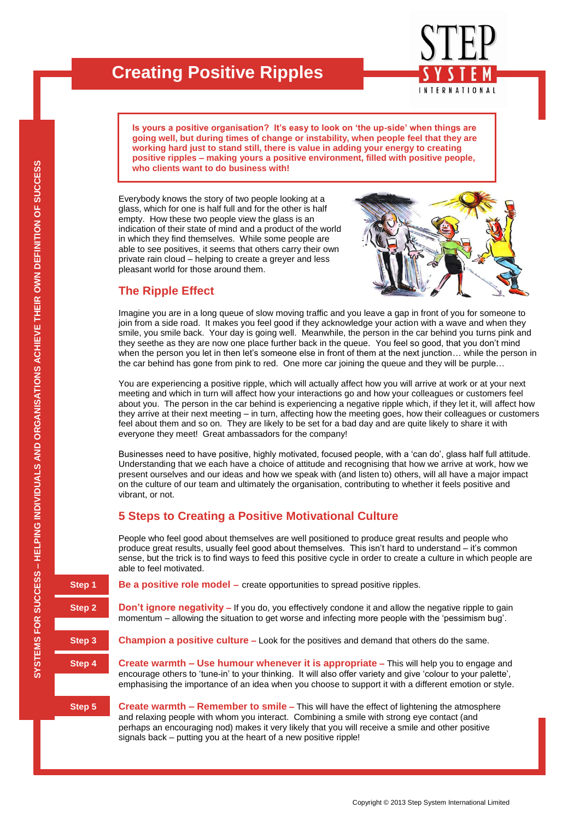# **Creating Positive Ripples**

**Is yours a positive organisation? It's easy to look on 'the up-side' when things are going well, but during times of change or instability, when people feel that they are working hard just to stand still, there is value in adding your energy to creating positive ripples – making yours a positive environment, filled with positive people, who clients want to do business with!**

**INTERNATIONAL** 

Everybody knows the story of two people looking at a glass, which for one is half full and for the other is half empty. How these two people view the glass is an indication of their state of mind and a product of the world in which they find themselves. While some people are able to see positives, it seems that others carry their own private rain cloud – helping to create a greyer and less pleasant world for those around them.

### **The Ripple Effect**

Imagine you are in a long queue of slow moving traffic and you leave a gap in front of you for someone to join from a side road. It makes you feel good if they acknowledge your action with a wave and when they smile, you smile back. Your day is going well. Meanwhile, the person in the car behind you turns pink and they seethe as they are now one place further back in the queue. You feel so good, that you don"t mind when the person you let in then let's someone else in front of them at the next junction... while the person in the car behind has gone from pink to red. One more car joining the queue and they will be purple…

You are experiencing a positive ripple, which will actually affect how you will arrive at work or at your next meeting and which in turn will affect how your interactions go and how your colleagues or customers feel about you. The person in the car behind is experiencing a negative ripple which, if they let it, will affect how they arrive at their next meeting – in turn, affecting how the meeting goes, how their colleagues or customers feel about them and so on. They are likely to be set for a bad day and are quite likely to share it with everyone they meet! Great ambassadors for the company!

Businesses need to have positive, highly motivated, focused people, with a "can do", glass half full attitude. Understanding that we each have a choice of attitude and recognising that how we arrive at work, how we present ourselves and our ideas and how we speak with (and listen to) others, will all have a major impact on the culture of our team and ultimately the organisation, contributing to whether it feels positive and vibrant, or not.

#### **5 Steps to Creating a Positive Motivational Culture**

People who feel good about themselves are well positioned to produce great results and people who produce great results, usually feel good about themselves. This isn"t hard to understand – it"s common sense, but the trick is to find ways to feed this positive cycle in order to create a culture in which people are able to feel motivated.

**Step 1 Be a positive role model** – create opportunities to spread positive ripples.

**Step 2 Don't ignore negativity –** If you do, you effectively condone it and allow the negative ripple to gain momentum – allowing the situation to get worse and infecting more people with the "pessimism bug".

**Step 3 Champion a positive culture** – Look for the positives and demand that others do the same.

**Step 4 Create warmth – Use humour whenever it is appropriate –** This will help you to engage and encourage others to "tune-in" to your thinking. It will also offer variety and give "colour to your palette", emphasising the importance of an idea when you choose to support it with a different emotion or style.

**Step 5 Create warmth – Remember to smile –** This will have the effect of lightening the atmosphere and relaxing people with whom you interact. Combining a smile with strong eye contact (and perhaps an encouraging nod) makes it very likely that you will receive a smile and other positive signals back – putting you at the heart of a new positive ripple!